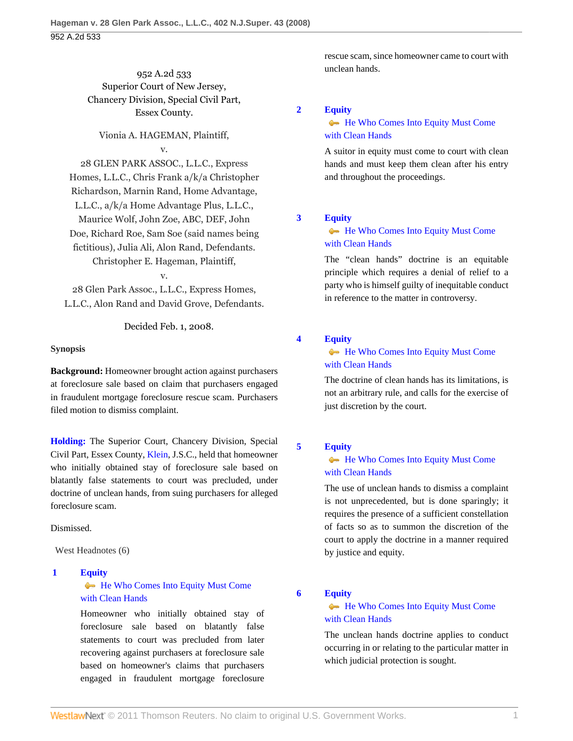# 952 A.2d 533 Superior Court of New Jersey, Chancery Division, Special Civil Part, Essex County.

## Vionia A. HAGEMAN, Plaintiff, v.

28 GLEN PARK ASSOC., L.L.C., Express Homes, L.L.C., Chris Frank a/k/a Christopher Richardson, Marnin Rand, Home Advantage, L.L.C., a/k/a Home Advantage Plus, L.L.C., Maurice Wolf, John Zoe, ABC, DEF, John Doe, Richard Roe, Sam Soe (said names being fictitious), Julia Ali, Alon Rand, Defendants. Christopher E. Hageman, Plaintiff,

28 Glen Park Assoc., L.L.C., Express Homes, L.L.C., Alon Rand and David Grove, Defendants.

v.

Decided Feb. 1, 2008.

## **Synopsis**

**Background:** Homeowner brought action against purchasers at foreclosure sale based on claim that purchasers engaged in fraudulent mortgage foreclosure rescue scam. Purchasers filed motion to dismiss complaint.

**[Holding:](#page-0-0)** The Superior Court, Chancery Division, Special Civil Part, Essex County, [Klein,](http://www.westlaw.com/Link/Document/FullText?findType=h&pubNum=176284&cite=0141983601&originatingDoc=Ia12b5af853fc11ddb5cbad29a280d47c&refType=RQ&originationContext=document&vr=3.0&rs=cblt1.0&transitionType=DocumentItem&contextData=(sc.UserEnteredCitation)) J.S.C., held that homeowner who initially obtained stay of foreclosure sale based on blatantly false statements to court was precluded, under doctrine of unclean hands, from suing purchasers for alleged foreclosure scam.

# Dismissed.

West Headnotes (6)

# <span id="page-0-0"></span>**[1](#page-2-0) [Equity](http://www.westlaw.com/Browse/Home/KeyNumber/150/View.html?docGuid=Ia12b5af853fc11ddb5cbad29a280d47c&originationContext=document&vr=3.0&rs=cblt1.0&transitionType=DocumentItem&contextData=(sc.UserEnteredCitation))**

# [He Who Comes Into Equity Must Come](http://www.westlaw.com/Browse/Home/KeyNumber/150k65/View.html?docGuid=Ia12b5af853fc11ddb5cbad29a280d47c&originationContext=document&vr=3.0&rs=cblt1.0&transitionType=DocumentItem&contextData=(sc.UserEnteredCitation)) [with Clean Hands](http://www.westlaw.com/Browse/Home/KeyNumber/150k65/View.html?docGuid=Ia12b5af853fc11ddb5cbad29a280d47c&originationContext=document&vr=3.0&rs=cblt1.0&transitionType=DocumentItem&contextData=(sc.UserEnteredCitation))

Homeowner who initially obtained stay of foreclosure sale based on blatantly false statements to court was precluded from later recovering against purchasers at foreclosure sale based on homeowner's claims that purchasers engaged in fraudulent mortgage foreclosure rescue scam, since homeowner came to court with unclean hands.

## <span id="page-0-1"></span>**[2](#page-2-1) [Equity](http://www.westlaw.com/Browse/Home/KeyNumber/150/View.html?docGuid=Ia12b5af853fc11ddb5cbad29a280d47c&originationContext=document&vr=3.0&rs=cblt1.0&transitionType=DocumentItem&contextData=(sc.UserEnteredCitation))**

# [He Who Comes Into Equity Must Come](http://www.westlaw.com/Browse/Home/KeyNumber/150k65/View.html?docGuid=Ia12b5af853fc11ddb5cbad29a280d47c&originationContext=document&vr=3.0&rs=cblt1.0&transitionType=DocumentItem&contextData=(sc.UserEnteredCitation)) [with Clean Hands](http://www.westlaw.com/Browse/Home/KeyNumber/150k65/View.html?docGuid=Ia12b5af853fc11ddb5cbad29a280d47c&originationContext=document&vr=3.0&rs=cblt1.0&transitionType=DocumentItem&contextData=(sc.UserEnteredCitation))

A suitor in equity must come to court with clean hands and must keep them clean after his entry and throughout the proceedings.

## <span id="page-0-2"></span>**[3](#page-2-2) [Equity](http://www.westlaw.com/Browse/Home/KeyNumber/150/View.html?docGuid=Ia12b5af853fc11ddb5cbad29a280d47c&originationContext=document&vr=3.0&rs=cblt1.0&transitionType=DocumentItem&contextData=(sc.UserEnteredCitation))**

# [He Who Comes Into Equity Must Come](http://www.westlaw.com/Browse/Home/KeyNumber/150k65/View.html?docGuid=Ia12b5af853fc11ddb5cbad29a280d47c&originationContext=document&vr=3.0&rs=cblt1.0&transitionType=DocumentItem&contextData=(sc.UserEnteredCitation)) [with Clean Hands](http://www.westlaw.com/Browse/Home/KeyNumber/150k65/View.html?docGuid=Ia12b5af853fc11ddb5cbad29a280d47c&originationContext=document&vr=3.0&rs=cblt1.0&transitionType=DocumentItem&contextData=(sc.UserEnteredCitation))

The "clean hands" doctrine is an equitable principle which requires a denial of relief to a party who is himself guilty of inequitable conduct in reference to the matter in controversy.

<span id="page-0-3"></span>**[4](#page-2-3) [Equity](http://www.westlaw.com/Browse/Home/KeyNumber/150/View.html?docGuid=Ia12b5af853fc11ddb5cbad29a280d47c&originationContext=document&vr=3.0&rs=cblt1.0&transitionType=DocumentItem&contextData=(sc.UserEnteredCitation))**

# [He Who Comes Into Equity Must Come](http://www.westlaw.com/Browse/Home/KeyNumber/150k65/View.html?docGuid=Ia12b5af853fc11ddb5cbad29a280d47c&originationContext=document&vr=3.0&rs=cblt1.0&transitionType=DocumentItem&contextData=(sc.UserEnteredCitation)) [with Clean Hands](http://www.westlaw.com/Browse/Home/KeyNumber/150k65/View.html?docGuid=Ia12b5af853fc11ddb5cbad29a280d47c&originationContext=document&vr=3.0&rs=cblt1.0&transitionType=DocumentItem&contextData=(sc.UserEnteredCitation))

The doctrine of clean hands has its limitations, is not an arbitrary rule, and calls for the exercise of just discretion by the court.

# <span id="page-0-4"></span>**[5](#page-2-4) [Equity](http://www.westlaw.com/Browse/Home/KeyNumber/150/View.html?docGuid=Ia12b5af853fc11ddb5cbad29a280d47c&originationContext=document&vr=3.0&rs=cblt1.0&transitionType=DocumentItem&contextData=(sc.UserEnteredCitation))**

# [He Who Comes Into Equity Must Come](http://www.westlaw.com/Browse/Home/KeyNumber/150k65/View.html?docGuid=Ia12b5af853fc11ddb5cbad29a280d47c&originationContext=document&vr=3.0&rs=cblt1.0&transitionType=DocumentItem&contextData=(sc.UserEnteredCitation)) [with Clean Hands](http://www.westlaw.com/Browse/Home/KeyNumber/150k65/View.html?docGuid=Ia12b5af853fc11ddb5cbad29a280d47c&originationContext=document&vr=3.0&rs=cblt1.0&transitionType=DocumentItem&contextData=(sc.UserEnteredCitation))

The use of unclean hands to dismiss a complaint is not unprecedented, but is done sparingly; it requires the presence of a sufficient constellation of facts so as to summon the discretion of the court to apply the doctrine in a manner required by justice and equity.

## <span id="page-0-5"></span>**[6](#page-3-0) [Equity](http://www.westlaw.com/Browse/Home/KeyNumber/150/View.html?docGuid=Ia12b5af853fc11ddb5cbad29a280d47c&originationContext=document&vr=3.0&rs=cblt1.0&transitionType=DocumentItem&contextData=(sc.UserEnteredCitation))**

# [He Who Comes Into Equity Must Come](http://www.westlaw.com/Browse/Home/KeyNumber/150k65/View.html?docGuid=Ia12b5af853fc11ddb5cbad29a280d47c&originationContext=document&vr=3.0&rs=cblt1.0&transitionType=DocumentItem&contextData=(sc.UserEnteredCitation)) [with Clean Hands](http://www.westlaw.com/Browse/Home/KeyNumber/150k65/View.html?docGuid=Ia12b5af853fc11ddb5cbad29a280d47c&originationContext=document&vr=3.0&rs=cblt1.0&transitionType=DocumentItem&contextData=(sc.UserEnteredCitation))

The unclean hands doctrine applies to conduct occurring in or relating to the particular matter in which judicial protection is sought.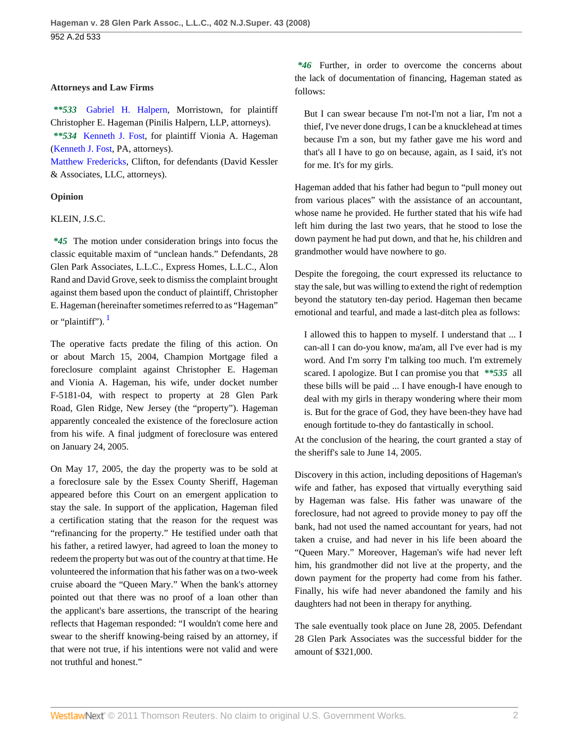## **Attorneys and Law Firms**

*\*\*533* [Gabriel H. Halpern,](http://www.westlaw.com/Link/Document/FullText?findType=h&pubNum=176284&cite=0393549501&originatingDoc=Ia12b5af853fc11ddb5cbad29a280d47c&refType=RQ&originationContext=document&vr=3.0&rs=cblt1.0&transitionType=DocumentItem&contextData=(sc.UserEnteredCitation)) Morristown, for plaintiff Christopher E. Hageman (Pinilis Halpern, LLP, attorneys). *\*\*534* [Kenneth J. Fost,](http://www.westlaw.com/Link/Document/FullText?findType=h&pubNum=176284&cite=0180624501&originatingDoc=Ia12b5af853fc11ddb5cbad29a280d47c&refType=RQ&originationContext=document&vr=3.0&rs=cblt1.0&transitionType=DocumentItem&contextData=(sc.UserEnteredCitation)) for plaintiff Vionia A. Hageman [\(Kenneth J. Fost,](http://www.westlaw.com/Link/Document/FullText?findType=h&pubNum=176284&cite=0180624501&originatingDoc=Ia12b5af853fc11ddb5cbad29a280d47c&refType=RQ&originationContext=document&vr=3.0&rs=cblt1.0&transitionType=DocumentItem&contextData=(sc.UserEnteredCitation)) PA, attorneys).

[Matthew Fredericks,](http://www.westlaw.com/Link/Document/FullText?findType=h&pubNum=176284&cite=0395791801&originatingDoc=Ia12b5af853fc11ddb5cbad29a280d47c&refType=RQ&originationContext=document&vr=3.0&rs=cblt1.0&transitionType=DocumentItem&contextData=(sc.UserEnteredCitation)) Clifton, for defendants (David Kessler & Associates, LLC, attorneys).

### **Opinion**

## KLEIN, J.S.C.

*\*45* The motion under consideration brings into focus the classic equitable maxim of "unclean hands." Defendants, 28 Glen Park Associates, L.L.C., Express Homes, L.L.C., Alon Rand and David Grove, seek to dismiss the complaint brought against them based upon the conduct of plaintiff, Christopher E. Hageman (hereinafter sometimes referred to as "Hageman" or "plaintiff").  $\frac{1}{2}$  $\frac{1}{2}$  $\frac{1}{2}$ 

<span id="page-1-0"></span>The operative facts predate the filing of this action. On or about March 15, 2004, Champion Mortgage filed a foreclosure complaint against Christopher E. Hageman and Vionia A. Hageman, his wife, under docket number F-5181-04, with respect to property at 28 Glen Park Road, Glen Ridge, New Jersey (the "property"). Hageman apparently concealed the existence of the foreclosure action from his wife. A final judgment of foreclosure was entered on January 24, 2005.

On May 17, 2005, the day the property was to be sold at a foreclosure sale by the Essex County Sheriff, Hageman appeared before this Court on an emergent application to stay the sale. In support of the application, Hageman filed a certification stating that the reason for the request was "refinancing for the property." He testified under oath that his father, a retired lawyer, had agreed to loan the money to redeem the property but was out of the country at that time. He volunteered the information that his father was on a two-week cruise aboard the "Queen Mary." When the bank's attorney pointed out that there was no proof of a loan other than the applicant's bare assertions, the transcript of the hearing reflects that Hageman responded: "I wouldn't come here and swear to the sheriff knowing-being raised by an attorney, if that were not true, if his intentions were not valid and were not truthful and honest."

*\*46* Further, in order to overcome the concerns about the lack of documentation of financing, Hageman stated as follows:

But I can swear because I'm not-I'm not a liar, I'm not a thief, I've never done drugs, I can be a knucklehead at times because I'm a son, but my father gave me his word and that's all I have to go on because, again, as I said, it's not for me. It's for my girls.

Hageman added that his father had begun to "pull money out from various places" with the assistance of an accountant, whose name he provided. He further stated that his wife had left him during the last two years, that he stood to lose the down payment he had put down, and that he, his children and grandmother would have nowhere to go.

Despite the foregoing, the court expressed its reluctance to stay the sale, but was willing to extend the right of redemption beyond the statutory ten-day period. Hageman then became emotional and tearful, and made a last-ditch plea as follows:

I allowed this to happen to myself. I understand that ... I can-all I can do-you know, ma'am, all I've ever had is my word. And I'm sorry I'm talking too much. I'm extremely scared. I apologize. But I can promise you that *\*\*535* all these bills will be paid ... I have enough-I have enough to deal with my girls in therapy wondering where their mom is. But for the grace of God, they have been-they have had enough fortitude to-they do fantastically in school.

At the conclusion of the hearing, the court granted a stay of the sheriff's sale to June 14, 2005.

Discovery in this action, including depositions of Hageman's wife and father, has exposed that virtually everything said by Hageman was false. His father was unaware of the foreclosure, had not agreed to provide money to pay off the bank, had not used the named accountant for years, had not taken a cruise, and had never in his life been aboard the "Queen Mary." Moreover, Hageman's wife had never left him, his grandmother did not live at the property, and the down payment for the property had come from his father. Finally, his wife had never abandoned the family and his daughters had not been in therapy for anything.

The sale eventually took place on June 28, 2005. Defendant 28 Glen Park Associates was the successful bidder for the amount of \$321,000.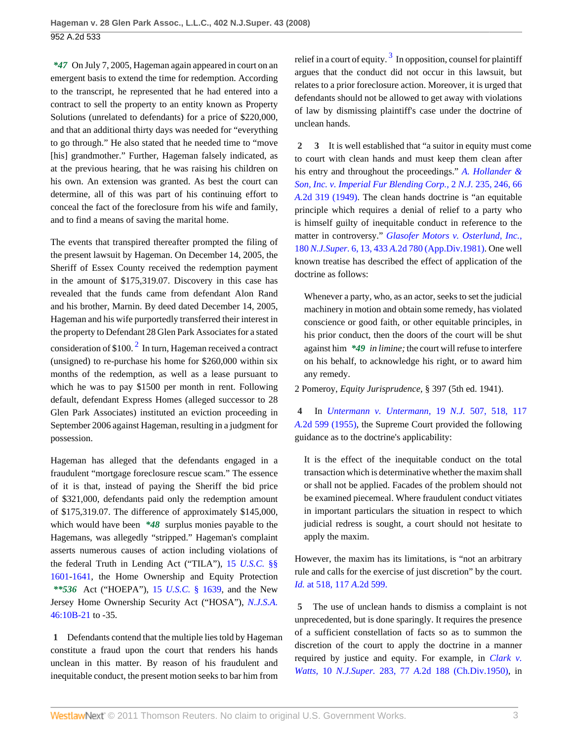*\*47* On July 7, 2005, Hageman again appeared in court on an emergent basis to extend the time for redemption. According to the transcript, he represented that he had entered into a contract to sell the property to an entity known as Property Solutions (unrelated to defendants) for a price of \$220,000, and that an additional thirty days was needed for "everything to go through." He also stated that he needed time to "move [his] grandmother." Further, Hageman falsely indicated, as at the previous hearing, that he was raising his children on his own. An extension was granted. As best the court can determine, all of this was part of his continuing effort to conceal the fact of the foreclosure from his wife and family, and to find a means of saving the marital home.

<span id="page-2-5"></span>The events that transpired thereafter prompted the filing of the present lawsuit by Hageman. On December 14, 2005, the Sheriff of Essex County received the redemption payment in the amount of \$175,319.07. Discovery in this case has revealed that the funds came from defendant Alon Rand and his brother, Marnin. By deed dated December 14, 2005, Hageman and his wife purportedly transferred their interest in the property to Defendant 28 Glen Park Associates for a stated consideration of \$100. $^2$  $^2$  In turn, Hageman received a contract (unsigned) to re-purchase his home for \$260,000 within six months of the redemption, as well as a lease pursuant to which he was to pay \$1500 per month in rent. Following default, defendant Express Homes (alleged successor to 28 Glen Park Associates) instituted an eviction proceeding in September 2006 against Hageman, resulting in a judgment for possession.

Hageman has alleged that the defendants engaged in a fraudulent "mortgage foreclosure rescue scam." The essence of it is that, instead of paying the Sheriff the bid price of \$321,000, defendants paid only the redemption amount of \$175,319.07. The difference of approximately \$145,000, which would have been *\*48* surplus monies payable to the Hagemans, was allegedly "stripped." Hageman's complaint asserts numerous causes of action including violations of the federal Truth in Lending Act ("TILA"), 15 *[U.S.C.](http://www.westlaw.com/Link/Document/FullText?findType=L&pubNum=1000546&cite=15USCAS1601&originatingDoc=Ia12b5af853fc11ddb5cbad29a280d47c&refType=LQ&originationContext=document&vr=3.0&rs=cblt1.0&transitionType=DocumentItem&contextData=(sc.UserEnteredCitation))* §§ [1601](http://www.westlaw.com/Link/Document/FullText?findType=L&pubNum=1000546&cite=15USCAS1601&originatingDoc=Ia12b5af853fc11ddb5cbad29a280d47c&refType=LQ&originationContext=document&vr=3.0&rs=cblt1.0&transitionType=DocumentItem&contextData=(sc.UserEnteredCitation))[-1641](http://www.westlaw.com/Link/Document/FullText?findType=L&pubNum=1000546&cite=15USCAS1641&originatingDoc=Ia12b5af853fc11ddb5cbad29a280d47c&refType=LQ&originationContext=document&vr=3.0&rs=cblt1.0&transitionType=DocumentItem&contextData=(sc.UserEnteredCitation)), the Home Ownership and Equity Protection *\*\*536* Act ("HOEPA"), 15 *U.S.C.* [§ 1639,](http://www.westlaw.com/Link/Document/FullText?findType=L&pubNum=1000546&cite=15USCAS1639&originatingDoc=Ia12b5af853fc11ddb5cbad29a280d47c&refType=LQ&originationContext=document&vr=3.0&rs=cblt1.0&transitionType=DocumentItem&contextData=(sc.UserEnteredCitation)) and the New Jersey Home Ownership Security Act ("HOSA"), *[N.J.S.A.](http://www.westlaw.com/Link/Document/FullText?findType=L&pubNum=1000045&cite=NJST46%3a10B-21&originatingDoc=Ia12b5af853fc11ddb5cbad29a280d47c&refType=LQ&originationContext=document&vr=3.0&rs=cblt1.0&transitionType=DocumentItem&contextData=(sc.UserEnteredCitation))* [46:10B-21](http://www.westlaw.com/Link/Document/FullText?findType=L&pubNum=1000045&cite=NJST46%3a10B-21&originatingDoc=Ia12b5af853fc11ddb5cbad29a280d47c&refType=LQ&originationContext=document&vr=3.0&rs=cblt1.0&transitionType=DocumentItem&contextData=(sc.UserEnteredCitation)) to -35.

<span id="page-2-0"></span>**[1](#page-0-0)** Defendants contend that the multiple lies told by Hageman constitute a fraud upon the court that renders his hands unclean in this matter. By reason of his fraudulent and inequitable conduct, the present motion seeks to bar him from

<span id="page-2-6"></span>relief in a court of equity.  $3 \text{ In opposition,}$  $3 \text{ In opposition,}$  counsel for plaintiff argues that the conduct did not occur in this lawsuit, but relates to a prior foreclosure action. Moreover, it is urged that defendants should not be allowed to get away with violations of law by dismissing plaintiff's case under the doctrine of unclean hands.

<span id="page-2-2"></span><span id="page-2-1"></span>**[2](#page-0-1) [3](#page-0-2)** It is well established that "a suitor in equity must come to court with clean hands and must keep them clean after his entry and throughout the proceedings." *[A. Hollander &](http://www.westlaw.com/Link/Document/FullText?findType=Y&serNum=1949110190&pubNum=583&originationContext=document&vr=3.0&rs=cblt1.0&transitionType=DocumentItem&contextData=(sc.UserEnteredCitation)#co_pp_sp_583_246) [Son, Inc. v. Imperial Fur Blending Corp.,](http://www.westlaw.com/Link/Document/FullText?findType=Y&serNum=1949110190&pubNum=583&originationContext=document&vr=3.0&rs=cblt1.0&transitionType=DocumentItem&contextData=(sc.UserEnteredCitation)#co_pp_sp_583_246)* 2 *N.J.* 235, 246, 66 *A.*[2d 319 \(1949\).](http://www.westlaw.com/Link/Document/FullText?findType=Y&serNum=1949110190&pubNum=583&originationContext=document&vr=3.0&rs=cblt1.0&transitionType=DocumentItem&contextData=(sc.UserEnteredCitation)#co_pp_sp_583_246) The clean hands doctrine is "an equitable principle which requires a denial of relief to a party who is himself guilty of inequitable conduct in reference to the matter in controversy." *[Glasofer Motors v. Osterlund, Inc.,](http://www.westlaw.com/Link/Document/FullText?findType=Y&serNum=1981136136&pubNum=590&originationContext=document&vr=3.0&rs=cblt1.0&transitionType=DocumentItem&contextData=(sc.UserEnteredCitation)#co_pp_sp_590_13)* 180 *N.J.Super.* 6, 13, 433 *A.*[2d 780 \(App.Div.1981\).](http://www.westlaw.com/Link/Document/FullText?findType=Y&serNum=1981136136&pubNum=590&originationContext=document&vr=3.0&rs=cblt1.0&transitionType=DocumentItem&contextData=(sc.UserEnteredCitation)#co_pp_sp_590_13) One well known treatise has described the effect of application of the doctrine as follows:

Whenever a party, who, as an actor, seeks to set the judicial machinery in motion and obtain some remedy, has violated conscience or good faith, or other equitable principles, in his prior conduct, then the doors of the court will be shut against him *\*49 in limine;* the court will refuse to interfere on his behalf, to acknowledge his right, or to award him any remedy.

2 Pomeroy, *Equity Jurisprudence,* § 397 (5th ed. 1941).

<span id="page-2-3"></span>**[4](#page-0-3)** In *[Untermann v. Untermann,](http://www.westlaw.com/Link/Document/FullText?findType=Y&serNum=1955111054&pubNum=583&originationContext=document&vr=3.0&rs=cblt1.0&transitionType=DocumentItem&contextData=(sc.UserEnteredCitation)#co_pp_sp_583_518)* 19 *N.J.* 507, 518, 117 *A.*[2d 599 \(1955\)](http://www.westlaw.com/Link/Document/FullText?findType=Y&serNum=1955111054&pubNum=583&originationContext=document&vr=3.0&rs=cblt1.0&transitionType=DocumentItem&contextData=(sc.UserEnteredCitation)#co_pp_sp_583_518), the Supreme Court provided the following guidance as to the doctrine's applicability:

It is the effect of the inequitable conduct on the total transaction which is determinative whether the maxim shall or shall not be applied. Facades of the problem should not be examined piecemeal. Where fraudulent conduct vitiates in important particulars the situation in respect to which judicial redress is sought, a court should not hesitate to apply the maxim.

However, the maxim has its limitations, is "not an arbitrary rule and calls for the exercise of just discretion" by the court. *Id.* [at 518, 117](http://www.westlaw.com/Link/Document/FullText?findType=Y&serNum=1955111054&pubNum=162&originationContext=document&vr=3.0&rs=cblt1.0&transitionType=DocumentItem&contextData=(sc.UserEnteredCitation)) *A*.2d 599.

<span id="page-2-4"></span>**[5](#page-0-4)** The use of unclean hands to dismiss a complaint is not unprecedented, but is done sparingly. It requires the presence of a sufficient constellation of facts so as to summon the discretion of the court to apply the doctrine in a manner required by justice and equity. For example, in *[Clark v.](http://www.westlaw.com/Link/Document/FullText?findType=Y&serNum=1951110605&pubNum=590&originationContext=document&vr=3.0&rs=cblt1.0&transitionType=DocumentItem&contextData=(sc.UserEnteredCitation)) Watts,* 10 *N.J.Super.* 283, 77 *A.*[2d 188 \(Ch.Div.1950\)](http://www.westlaw.com/Link/Document/FullText?findType=Y&serNum=1951110605&pubNum=590&originationContext=document&vr=3.0&rs=cblt1.0&transitionType=DocumentItem&contextData=(sc.UserEnteredCitation)), in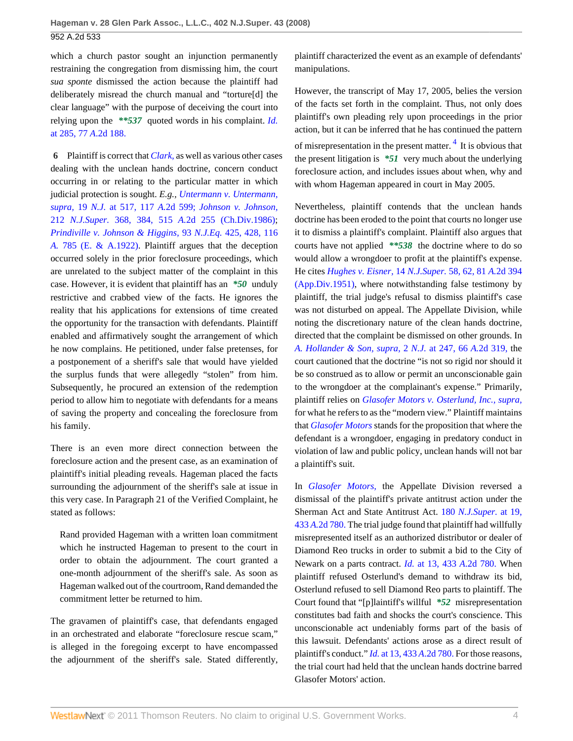which a church pastor sought an injunction permanently restraining the congregation from dismissing him, the court *sua sponte* dismissed the action because the plaintiff had deliberately misread the church manual and "torture[d] the clear language" with the purpose of deceiving the court into relying upon the *\*\*537* quoted words in his complaint. *[Id.](http://www.westlaw.com/Link/Document/FullText?findType=Y&serNum=1951110605&pubNum=162&originationContext=document&vr=3.0&rs=cblt1.0&transitionType=DocumentItem&contextData=(sc.UserEnteredCitation))* [at 285, 77](http://www.westlaw.com/Link/Document/FullText?findType=Y&serNum=1951110605&pubNum=162&originationContext=document&vr=3.0&rs=cblt1.0&transitionType=DocumentItem&contextData=(sc.UserEnteredCitation)) *A*.2d 188.

<span id="page-3-0"></span>**[6](#page-0-5)** Plaintiff is correct that *[Clark,](http://www.westlaw.com/Link/Document/FullText?findType=Y&serNum=1951110605&originationContext=document&vr=3.0&rs=cblt1.0&transitionType=DocumentItem&contextData=(sc.UserEnteredCitation))* as well as various other cases dealing with the unclean hands doctrine, concern conduct occurring in or relating to the particular matter in which judicial protection is sought. *E.g., [Untermann v. Untermann,](http://www.westlaw.com/Link/Document/FullText?findType=Y&serNum=1955111054&pubNum=583&originationContext=document&vr=3.0&rs=cblt1.0&transitionType=DocumentItem&contextData=(sc.UserEnteredCitation)#co_pp_sp_583_517) supra,* 19 *N.J.* [at 517, 117](http://www.westlaw.com/Link/Document/FullText?findType=Y&serNum=1955111054&pubNum=583&originationContext=document&vr=3.0&rs=cblt1.0&transitionType=DocumentItem&contextData=(sc.UserEnteredCitation)#co_pp_sp_583_517) *A.*2d 599; *[Johnson v. Johnson,](http://www.westlaw.com/Link/Document/FullText?findType=Y&serNum=1986147567&pubNum=590&originationContext=document&vr=3.0&rs=cblt1.0&transitionType=DocumentItem&contextData=(sc.UserEnteredCitation)#co_pp_sp_590_384)* 212 *N.J.Super.* 368, 384, 515 *A.*[2d 255 \(Ch.Div.1986\)](http://www.westlaw.com/Link/Document/FullText?findType=Y&serNum=1986147567&pubNum=590&originationContext=document&vr=3.0&rs=cblt1.0&transitionType=DocumentItem&contextData=(sc.UserEnteredCitation)#co_pp_sp_590_384); *[Prindiville v. Johnson & Higgins,](http://www.westlaw.com/Link/Document/FullText?findType=Y&serNum=1922112313&pubNum=161&originationContext=document&vr=3.0&rs=cblt1.0&transitionType=DocumentItem&contextData=(sc.UserEnteredCitation))* 93 *N.J.Eq.* 425, 428, 116 *A.* [785 \(E. & A.1922\).](http://www.westlaw.com/Link/Document/FullText?findType=Y&serNum=1922112313&pubNum=161&originationContext=document&vr=3.0&rs=cblt1.0&transitionType=DocumentItem&contextData=(sc.UserEnteredCitation)) Plaintiff argues that the deception occurred solely in the prior foreclosure proceedings, which are unrelated to the subject matter of the complaint in this case. However, it is evident that plaintiff has an *\*50* unduly restrictive and crabbed view of the facts. He ignores the reality that his applications for extensions of time created the opportunity for the transaction with defendants. Plaintiff enabled and affirmatively sought the arrangement of which he now complains. He petitioned, under false pretenses, for a postponement of a sheriff's sale that would have yielded the surplus funds that were allegedly "stolen" from him. Subsequently, he procured an extension of the redemption period to allow him to negotiate with defendants for a means of saving the property and concealing the foreclosure from his family.

There is an even more direct connection between the foreclosure action and the present case, as an examination of plaintiff's initial pleading reveals. Hageman placed the facts surrounding the adjournment of the sheriff's sale at issue in this very case. In Paragraph 21 of the Verified Complaint, he stated as follows:

Rand provided Hageman with a written loan commitment which he instructed Hageman to present to the court in order to obtain the adjournment. The court granted a one-month adjournment of the sheriff's sale. As soon as Hageman walked out of the courtroom, Rand demanded the commitment letter be returned to him.

The gravamen of plaintiff's case, that defendants engaged in an orchestrated and elaborate "foreclosure rescue scam," is alleged in the foregoing excerpt to have encompassed the adjournment of the sheriff's sale. Stated differently, plaintiff characterized the event as an example of defendants' manipulations.

<span id="page-3-1"></span>However, the transcript of May 17, 2005, belies the version of the facts set forth in the complaint. Thus, not only does plaintiff's own pleading rely upon proceedings in the prior action, but it can be inferred that he has continued the pattern of misrepresentation in the present matter. <sup>[4](#page-5-3)</sup> It is obvious that the present litigation is *\*51* very much about the underlying foreclosure action, and includes issues about when, why and with whom Hageman appeared in court in May 2005.

Nevertheless, plaintiff contends that the unclean hands doctrine has been eroded to the point that courts no longer use it to dismiss a plaintiff's complaint. Plaintiff also argues that courts have not applied *\*\*538* the doctrine where to do so would allow a wrongdoer to profit at the plaintiff's expense. He cites *[Hughes v. Eisner,](http://www.westlaw.com/Link/Document/FullText?findType=Y&serNum=1951110976&pubNum=590&originationContext=document&vr=3.0&rs=cblt1.0&transitionType=DocumentItem&contextData=(sc.UserEnteredCitation)#co_pp_sp_590_62)* 14 *N.J.Super.* 58, 62, 81 *A.*2d 394 [\(App.Div.1951\),](http://www.westlaw.com/Link/Document/FullText?findType=Y&serNum=1951110976&pubNum=590&originationContext=document&vr=3.0&rs=cblt1.0&transitionType=DocumentItem&contextData=(sc.UserEnteredCitation)#co_pp_sp_590_62) where notwithstanding false testimony by plaintiff, the trial judge's refusal to dismiss plaintiff's case was not disturbed on appeal. The Appellate Division, while noting the discretionary nature of the clean hands doctrine, directed that the complaint be dismissed on other grounds. In *[A. Hollander & Son, supra,](http://www.westlaw.com/Link/Document/FullText?findType=Y&serNum=1949110190&pubNum=583&originationContext=document&vr=3.0&rs=cblt1.0&transitionType=DocumentItem&contextData=(sc.UserEnteredCitation)#co_pp_sp_583_247)* 2 *N.J.* at 247, 66 *A.*2d 319, the court cautioned that the doctrine "is not so rigid nor should it be so construed as to allow or permit an unconscionable gain to the wrongdoer at the complainant's expense." Primarily, plaintiff relies on *[Glasofer Motors v. Osterlund, Inc.,](http://www.westlaw.com/Link/Document/FullText?findType=Y&serNum=1981136136&originationContext=document&vr=3.0&rs=cblt1.0&transitionType=DocumentItem&contextData=(sc.UserEnteredCitation)) supra,* for what he refers to as the "modern view." Plaintiff maintains that *[Glasofer Motors](http://www.westlaw.com/Link/Document/FullText?findType=Y&serNum=1981136136&originationContext=document&vr=3.0&rs=cblt1.0&transitionType=DocumentItem&contextData=(sc.UserEnteredCitation))* stands for the proposition that where the defendant is a wrongdoer, engaging in predatory conduct in violation of law and public policy, unclean hands will not bar a plaintiff's suit.

In *[Glasofer Motors,](http://www.westlaw.com/Link/Document/FullText?findType=Y&serNum=1981136136&originationContext=document&vr=3.0&rs=cblt1.0&transitionType=DocumentItem&contextData=(sc.UserEnteredCitation))* the Appellate Division reversed a dismissal of the plaintiff's private antitrust action under the Sherman Act and State Antitrust Act. 180 *[N.J.Super.](http://www.westlaw.com/Link/Document/FullText?findType=Y&serNum=1981136136&pubNum=590&originationContext=document&vr=3.0&rs=cblt1.0&transitionType=DocumentItem&contextData=(sc.UserEnteredCitation)#co_pp_sp_590_19)* at 19, 433 *A.*[2d 780.](http://www.westlaw.com/Link/Document/FullText?findType=Y&serNum=1981136136&pubNum=590&originationContext=document&vr=3.0&rs=cblt1.0&transitionType=DocumentItem&contextData=(sc.UserEnteredCitation)#co_pp_sp_590_19) The trial judge found that plaintiff had willfully misrepresented itself as an authorized distributor or dealer of Diamond Reo trucks in order to submit a bid to the City of Newark on a parts contract. *Id.* [at 13, 433](http://www.westlaw.com/Link/Document/FullText?findType=Y&serNum=1981136136&pubNum=162&originationContext=document&vr=3.0&rs=cblt1.0&transitionType=DocumentItem&contextData=(sc.UserEnteredCitation)) *A*.2d 780. When plaintiff refused Osterlund's demand to withdraw its bid, Osterlund refused to sell Diamond Reo parts to plaintiff. The Court found that "[p]laintiff's willful *\*52* misrepresentation constitutes bad faith and shocks the court's conscience. This unconscionable act undeniably forms part of the basis of this lawsuit. Defendants' actions arose as a direct result of plaintiff's conduct." *Id.* [at 13, 433](http://www.westlaw.com/Link/Document/FullText?findType=Y&serNum=1981136136&pubNum=162&originationContext=document&vr=3.0&rs=cblt1.0&transitionType=DocumentItem&contextData=(sc.UserEnteredCitation)) *A*.2d 780. For those reasons, the trial court had held that the unclean hands doctrine barred Glasofer Motors' action.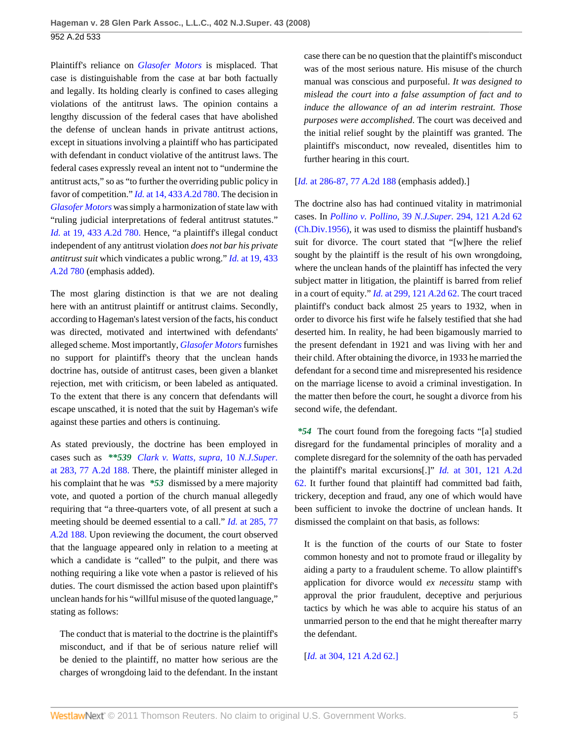Plaintiff's reliance on *[Glasofer Motors](http://www.westlaw.com/Link/Document/FullText?findType=Y&serNum=1981136136&originationContext=document&vr=3.0&rs=cblt1.0&transitionType=DocumentItem&contextData=(sc.UserEnteredCitation))* is misplaced. That case is distinguishable from the case at bar both factually and legally. Its holding clearly is confined to cases alleging violations of the antitrust laws. The opinion contains a lengthy discussion of the federal cases that have abolished the defense of unclean hands in private antitrust actions, except in situations involving a plaintiff who has participated with defendant in conduct violative of the antitrust laws. The federal cases expressly reveal an intent not to "undermine the antitrust acts," so as "to further the overriding public policy in favor of competition." *Id.* [at 14, 433](http://www.westlaw.com/Link/Document/FullText?findType=Y&serNum=1981136136&pubNum=162&originationContext=document&vr=3.0&rs=cblt1.0&transitionType=DocumentItem&contextData=(sc.UserEnteredCitation)) *A*.2d 780. The decision in *[Glasofer Motors](http://www.westlaw.com/Link/Document/FullText?findType=Y&serNum=1981136136&originationContext=document&vr=3.0&rs=cblt1.0&transitionType=DocumentItem&contextData=(sc.UserEnteredCitation))* was simply a harmonization of state law with "ruling judicial interpretations of federal antitrust statutes." *Id.* [at 19, 433](http://www.westlaw.com/Link/Document/FullText?findType=Y&serNum=1981136136&pubNum=162&originationContext=document&vr=3.0&rs=cblt1.0&transitionType=DocumentItem&contextData=(sc.UserEnteredCitation)) *A*.2d 780. Hence, "a plaintiff's illegal conduct independent of any antitrust violation *does not bar his private antitrust suit* which vindicates a public wrong." *Id.* [at 19, 433](http://www.westlaw.com/Link/Document/FullText?findType=Y&serNum=1981136136&pubNum=162&originationContext=document&vr=3.0&rs=cblt1.0&transitionType=DocumentItem&contextData=(sc.UserEnteredCitation)) *A*[.2d 780](http://www.westlaw.com/Link/Document/FullText?findType=Y&serNum=1981136136&pubNum=162&originationContext=document&vr=3.0&rs=cblt1.0&transitionType=DocumentItem&contextData=(sc.UserEnteredCitation)) (emphasis added).

The most glaring distinction is that we are not dealing here with an antitrust plaintiff or antitrust claims. Secondly, according to Hageman's latest version of the facts, his conduct was directed, motivated and intertwined with defendants' alleged scheme. Most importantly, *[Glasofer Motors](http://www.westlaw.com/Link/Document/FullText?findType=Y&serNum=1981136136&originationContext=document&vr=3.0&rs=cblt1.0&transitionType=DocumentItem&contextData=(sc.UserEnteredCitation))* furnishes no support for plaintiff's theory that the unclean hands doctrine has, outside of antitrust cases, been given a blanket rejection, met with criticism, or been labeled as antiquated. To the extent that there is any concern that defendants will escape unscathed, it is noted that the suit by Hageman's wife against these parties and others is continuing.

As stated previously, the doctrine has been employed in cases such as *\*\*539 [Clark v. Watts, supra,](http://www.westlaw.com/Link/Document/FullText?findType=Y&serNum=1951110605&pubNum=590&originationContext=document&vr=3.0&rs=cblt1.0&transitionType=DocumentItem&contextData=(sc.UserEnteredCitation)#co_pp_sp_590_283)* 10 *N.J.Super.* [at 283, 77 A.2d 188.](http://www.westlaw.com/Link/Document/FullText?findType=Y&serNum=1951110605&pubNum=590&originationContext=document&vr=3.0&rs=cblt1.0&transitionType=DocumentItem&contextData=(sc.UserEnteredCitation)#co_pp_sp_590_283) There, the plaintiff minister alleged in his complaint that he was *\*53* dismissed by a mere majority vote, and quoted a portion of the church manual allegedly requiring that "a three-quarters vote, of all present at such a meeting should be deemed essential to a call." *Id.* [at 285, 77](http://www.westlaw.com/Link/Document/FullText?findType=Y&serNum=1951110605&pubNum=162&originationContext=document&vr=3.0&rs=cblt1.0&transitionType=DocumentItem&contextData=(sc.UserEnteredCitation)) *A*[.2d 188.](http://www.westlaw.com/Link/Document/FullText?findType=Y&serNum=1951110605&pubNum=162&originationContext=document&vr=3.0&rs=cblt1.0&transitionType=DocumentItem&contextData=(sc.UserEnteredCitation)) Upon reviewing the document, the court observed that the language appeared only in relation to a meeting at which a candidate is "called" to the pulpit, and there was nothing requiring a like vote when a pastor is relieved of his duties. The court dismissed the action based upon plaintiff's unclean hands for his "willful misuse of the quoted language," stating as follows:

The conduct that is material to the doctrine is the plaintiff's misconduct, and if that be of serious nature relief will be denied to the plaintiff, no matter how serious are the charges of wrongdoing laid to the defendant. In the instant case there can be no question that the plaintiff's misconduct was of the most serious nature. His misuse of the church manual was conscious and purposeful. *It was designed to mislead the court into a false assumption of fact and to induce the allowance of an ad interim restraint. Those purposes were accomplished*. The court was deceived and the initial relief sought by the plaintiff was granted. The plaintiff's misconduct, now revealed, disentitles him to further hearing in this court.

#### [*Id.* [at 286-87, 77](http://www.westlaw.com/Link/Document/FullText?findType=Y&serNum=1951110605&pubNum=162&originationContext=document&vr=3.0&rs=cblt1.0&transitionType=DocumentItem&contextData=(sc.UserEnteredCitation)) *A*.2d 188 (emphasis added).]

The doctrine also has had continued vitality in matrimonial cases. In *[Pollino v. Pollino,](http://www.westlaw.com/Link/Document/FullText?findType=Y&serNum=1956104701&pubNum=590&originationContext=document&vr=3.0&rs=cblt1.0&transitionType=DocumentItem&contextData=(sc.UserEnteredCitation))* 39 *N.J.Super.* 294, 121 *A.*2d 62 [\(Ch.Div.1956\)](http://www.westlaw.com/Link/Document/FullText?findType=Y&serNum=1956104701&pubNum=590&originationContext=document&vr=3.0&rs=cblt1.0&transitionType=DocumentItem&contextData=(sc.UserEnteredCitation)), it was used to dismiss the plaintiff husband's suit for divorce. The court stated that "[w]here the relief sought by the plaintiff is the result of his own wrongdoing, where the unclean hands of the plaintiff has infected the very subject matter in litigation, the plaintiff is barred from relief in a court of equity." *Id.* [at 299, 121](http://www.westlaw.com/Link/Document/FullText?findType=Y&serNum=1956104701&pubNum=162&originationContext=document&vr=3.0&rs=cblt1.0&transitionType=DocumentItem&contextData=(sc.UserEnteredCitation)) *A*.2d 62. The court traced plaintiff's conduct back almost 25 years to 1932, when in order to divorce his first wife he falsely testified that she had deserted him. In reality, he had been bigamously married to the present defendant in 1921 and was living with her and their child. After obtaining the divorce, in 1933 he married the defendant for a second time and misrepresented his residence on the marriage license to avoid a criminal investigation. In the matter then before the court, he sought a divorce from his second wife, the defendant.

*\*54* The court found from the foregoing facts "[a] studied disregard for the fundamental principles of morality and a complete disregard for the solemnity of the oath has pervaded the plaintiff's marital excursions[.]" *Id.* [at 301, 121](http://www.westlaw.com/Link/Document/FullText?findType=Y&serNum=1956104701&pubNum=162&originationContext=document&vr=3.0&rs=cblt1.0&transitionType=DocumentItem&contextData=(sc.UserEnteredCitation)) *A*.2d [62.](http://www.westlaw.com/Link/Document/FullText?findType=Y&serNum=1956104701&pubNum=162&originationContext=document&vr=3.0&rs=cblt1.0&transitionType=DocumentItem&contextData=(sc.UserEnteredCitation)) It further found that plaintiff had committed bad faith, trickery, deception and fraud, any one of which would have been sufficient to invoke the doctrine of unclean hands. It dismissed the complaint on that basis, as follows:

It is the function of the courts of our State to foster common honesty and not to promote fraud or illegality by aiding a party to a fraudulent scheme. To allow plaintiff's application for divorce would *ex necessitu* stamp with approval the prior fraudulent, deceptive and perjurious tactics by which he was able to acquire his status of an unmarried person to the end that he might thereafter marry the defendant.

## [*Id.* [at 304, 121](http://www.westlaw.com/Link/Document/FullText?findType=Y&serNum=1956104701&pubNum=162&originationContext=document&vr=3.0&rs=cblt1.0&transitionType=DocumentItem&contextData=(sc.UserEnteredCitation)) *A.*2d 62.]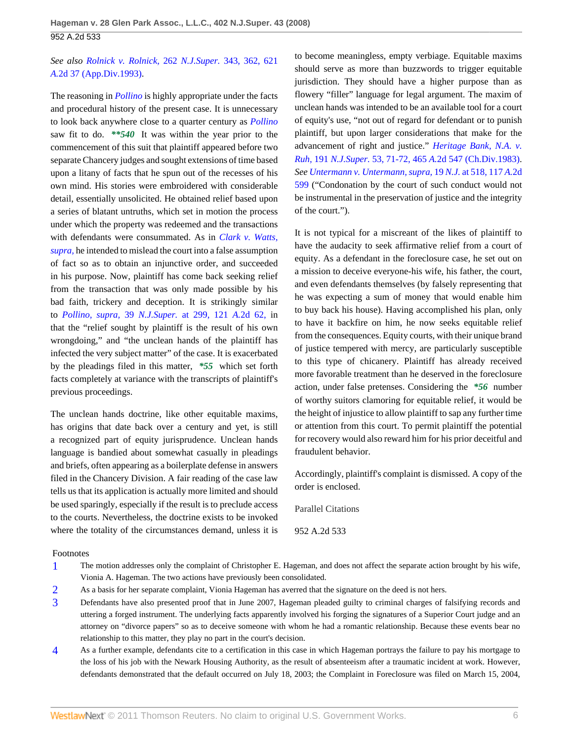# *See also [Rolnick v. Rolnick,](http://www.westlaw.com/Link/Document/FullText?findType=Y&serNum=1993076191&pubNum=590&originationContext=document&vr=3.0&rs=cblt1.0&transitionType=DocumentItem&contextData=(sc.UserEnteredCitation)#co_pp_sp_590_362)* 262 *N.J.Super.* 343, 362, 621 *A.*[2d 37 \(App.Div.1993\)](http://www.westlaw.com/Link/Document/FullText?findType=Y&serNum=1993076191&pubNum=590&originationContext=document&vr=3.0&rs=cblt1.0&transitionType=DocumentItem&contextData=(sc.UserEnteredCitation)#co_pp_sp_590_362).

The reasoning in *[Pollino](http://www.westlaw.com/Link/Document/FullText?findType=Y&serNum=1956104701&originationContext=document&vr=3.0&rs=cblt1.0&transitionType=DocumentItem&contextData=(sc.UserEnteredCitation))* is highly appropriate under the facts and procedural history of the present case. It is unnecessary to look back anywhere close to a quarter century as *[Pollino](http://www.westlaw.com/Link/Document/FullText?findType=Y&serNum=1956104701&originationContext=document&vr=3.0&rs=cblt1.0&transitionType=DocumentItem&contextData=(sc.UserEnteredCitation))* saw fit to do. *\*\*540* It was within the year prior to the commencement of this suit that plaintiff appeared before two separate Chancery judges and sought extensions of time based upon a litany of facts that he spun out of the recesses of his own mind. His stories were embroidered with considerable detail, essentially unsolicited. He obtained relief based upon a series of blatant untruths, which set in motion the process under which the property was redeemed and the transactions with defendants were consummated. As in *[Clark v. Watts,](http://www.westlaw.com/Link/Document/FullText?findType=Y&serNum=1951110605&originationContext=document&vr=3.0&rs=cblt1.0&transitionType=DocumentItem&contextData=(sc.UserEnteredCitation)) [supra,](http://www.westlaw.com/Link/Document/FullText?findType=Y&serNum=1951110605&originationContext=document&vr=3.0&rs=cblt1.0&transitionType=DocumentItem&contextData=(sc.UserEnteredCitation))* he intended to mislead the court into a false assumption of fact so as to obtain an injunctive order, and succeeded in his purpose. Now, plaintiff has come back seeking relief from the transaction that was only made possible by his bad faith, trickery and deception. It is strikingly similar to *[Pollino, supra,](http://www.westlaw.com/Link/Document/FullText?findType=Y&serNum=1956104701&pubNum=590&originationContext=document&vr=3.0&rs=cblt1.0&transitionType=DocumentItem&contextData=(sc.UserEnteredCitation)#co_pp_sp_590_299)* 39 *N.J.Super.* at 299, 121 *A.*2d 62, in that the "relief sought by plaintiff is the result of his own wrongdoing," and "the unclean hands of the plaintiff has infected the very subject matter" of the case. It is exacerbated by the pleadings filed in this matter, *\*55* which set forth facts completely at variance with the transcripts of plaintiff's previous proceedings.

The unclean hands doctrine, like other equitable maxims, has origins that date back over a century and yet, is still a recognized part of equity jurisprudence. Unclean hands language is bandied about somewhat casually in pleadings and briefs, often appearing as a boilerplate defense in answers filed in the Chancery Division. A fair reading of the case law tells us that its application is actually more limited and should be used sparingly, especially if the result is to preclude access to the courts. Nevertheless, the doctrine exists to be invoked where the totality of the circumstances demand, unless it is

to become meaningless, empty verbiage. Equitable maxims should serve as more than buzzwords to trigger equitable jurisdiction. They should have a higher purpose than as flowery "filler" language for legal argument. The maxim of unclean hands was intended to be an available tool for a court of equity's use, "not out of regard for defendant or to punish plaintiff, but upon larger considerations that make for the advancement of right and justice." *[Heritage Bank, N.A. v.](http://www.westlaw.com/Link/Document/FullText?findType=Y&serNum=1983142453&pubNum=590&originationContext=document&vr=3.0&rs=cblt1.0&transitionType=DocumentItem&contextData=(sc.UserEnteredCitation)#co_pp_sp_590_71) Ruh,* 191 *N.J.Super.* 53, 71-72, 465 *A.*[2d 547 \(Ch.Div.1983\).](http://www.westlaw.com/Link/Document/FullText?findType=Y&serNum=1983142453&pubNum=590&originationContext=document&vr=3.0&rs=cblt1.0&transitionType=DocumentItem&contextData=(sc.UserEnteredCitation)#co_pp_sp_590_71) *See [Untermann v. Untermann, supra,](http://www.westlaw.com/Link/Document/FullText?findType=Y&serNum=1955111054&pubNum=583&originationContext=document&vr=3.0&rs=cblt1.0&transitionType=DocumentItem&contextData=(sc.UserEnteredCitation)#co_pp_sp_583_518)* 19 *N.J.* at 518, 117 *A.*2d [599](http://www.westlaw.com/Link/Document/FullText?findType=Y&serNum=1955111054&pubNum=583&originationContext=document&vr=3.0&rs=cblt1.0&transitionType=DocumentItem&contextData=(sc.UserEnteredCitation)#co_pp_sp_583_518) ("Condonation by the court of such conduct would not be instrumental in the preservation of justice and the integrity of the court.").

It is not typical for a miscreant of the likes of plaintiff to have the audacity to seek affirmative relief from a court of equity. As a defendant in the foreclosure case, he set out on a mission to deceive everyone-his wife, his father, the court, and even defendants themselves (by falsely representing that he was expecting a sum of money that would enable him to buy back his house). Having accomplished his plan, only to have it backfire on him, he now seeks equitable relief from the consequences. Equity courts, with their unique brand of justice tempered with mercy, are particularly susceptible to this type of chicanery. Plaintiff has already received more favorable treatment than he deserved in the foreclosure action, under false pretenses. Considering the *\*56* number of worthy suitors clamoring for equitable relief, it would be the height of injustice to allow plaintiff to sap any further time or attention from this court. To permit plaintiff the potential for recovery would also reward him for his prior deceitful and fraudulent behavior.

Accordingly, plaintiff's complaint is dismissed. A copy of the order is enclosed.

Parallel Citations

952 A.2d 533

## Footnotes

- <span id="page-5-0"></span>[1](#page-1-0) The motion addresses only the complaint of Christopher E. Hageman, and does not affect the separate action brought by his wife, Vionia A. Hageman. The two actions have previously been consolidated.
- <span id="page-5-1"></span>[2](#page-2-5) As a basis for her separate complaint, Vionia Hageman has averred that the signature on the deed is not hers.
- <span id="page-5-2"></span>[3](#page-2-6) Defendants have also presented proof that in June 2007, Hageman pleaded guilty to criminal charges of falsifying records and uttering a forged instrument. The underlying facts apparently involved his forging the signatures of a Superior Court judge and an attorney on "divorce papers" so as to deceive someone with whom he had a romantic relationship. Because these events bear no relationship to this matter, they play no part in the court's decision.
- <span id="page-5-3"></span>[4](#page-3-1) As a further example, defendants cite to a certification in this case in which Hageman portrays the failure to pay his mortgage to the loss of his job with the Newark Housing Authority, as the result of absenteeism after a traumatic incident at work. However, defendants demonstrated that the default occurred on July 18, 2003; the Complaint in Foreclosure was filed on March 15, 2004,